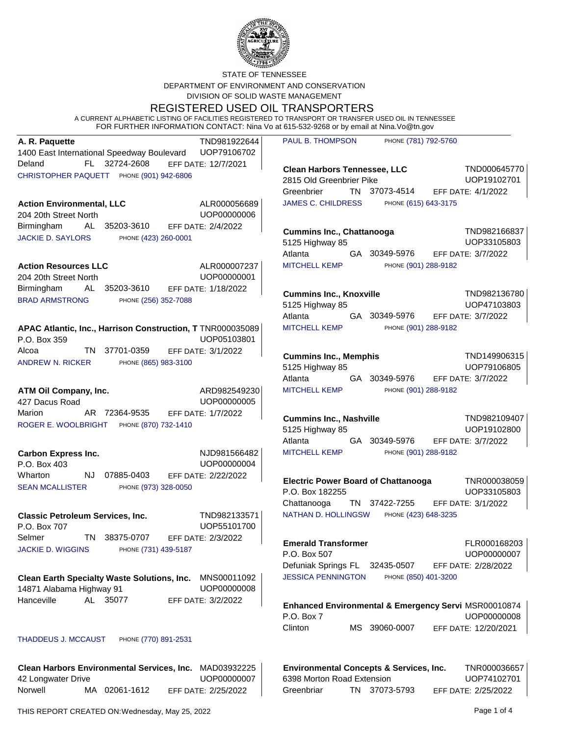

STATE OF TENNESSEE DEPARTMENT OF ENVIRONMENT AND CONSERVATION DIVISION OF SOLID WASTE MANAGEMENT

REGISTERED USED OIL TRANSPORTERS

A CURRENT ALPHABETIC LISTING OF FACILITIES REGISTERED TO TRANSPORT OR TRANSFER USED OIL IN TENNESSEE FOR FURTHER INFORMATION CONTACT: Nina Vo at 615-532-9268 or by email at Nina.Vo@tn.gov

| A. R. Paquette                                                                                      | TND981922644                | <b>PAUL B. THOMPSO</b>                                  |
|-----------------------------------------------------------------------------------------------------|-----------------------------|---------------------------------------------------------|
| 1400 East International Speedway Boulevard UOP79106702                                              |                             |                                                         |
| 32724-2608<br>Deland<br>FL.<br>CHRISTOPHER PAQUETT PHONE (901) 942-6806                             | EFF DATE: 12/7/2021         | <b>Clean Harbors T</b><br>2815 Old Greenb<br>Greenbrier |
| <b>Action Environmental, LLC</b>                                                                    | ALR000056689                | <b>JAMES C. CHILDR</b>                                  |
| 204 20th Street North                                                                               | UOP00000006                 |                                                         |
| Birmingham<br>AL<br>35203-3610<br><b>JACKIE D. SAYLORS</b><br>PHONE (423) 260-0001                  | EFF DATE: 2/4/2022          | Cummins Inc., C<br>5125 Highway 85                      |
|                                                                                                     |                             | Atlanta                                                 |
| <b>Action Resources LLC</b>                                                                         | ALR000007237                | <b>MITCHELL KEMP</b>                                    |
| 204 20th Street North                                                                               | UOP00000001                 |                                                         |
| Birmingham<br>35203-3610 EFF DATE: 1/18/2022<br>AL<br><b>BRAD ARMSTRONG</b><br>PHONE (256) 352-7088 |                             | <b>Cummins Inc., K</b><br>5125 Highway 85<br>Atlanta    |
| APAC Atlantic, Inc., Harrison Construction, T TNR000035089                                          |                             | <b>MITCHELL KEMP</b>                                    |
| P.O. Box 359                                                                                        | UOP05103801                 |                                                         |
| Alcoa<br>TN 1<br>37701-0359<br>PHONE (865) 983-3100<br><b>ANDREW N. RICKER</b>                      | EFF DATE: 3/1/2022          | Cummins Inc., N<br>5125 Highway 85<br>Atlanta           |
| <b>ATM Oil Company, Inc.</b>                                                                        | ARD982549230                | <b>MITCHELL KEMP</b>                                    |
| 427 Dacus Road                                                                                      | UOP00000005                 |                                                         |
| Marion<br>AR 72364-9535<br>ROGER E. WOOLBRIGHT PHONE (870) 732-1410                                 | EFF DATE: 1/7/2022          | <b>Cummins Inc., N</b><br>5125 Highway 85<br>Atlanta    |
| <b>Carbon Express Inc.</b><br>P.O. Box 403                                                          | NJD981566482<br>UOP00000004 | <b>MITCHELL KEMP</b>                                    |
| NJ.<br>Wharton<br>07885-0403                                                                        | EFF DATE: 2/22/2022         | <b>Electric Power B</b>                                 |
| <b>SEAN MCALLISTER</b><br>PHONE (973) 328-0050                                                      |                             | P.O. Box 182255<br>Chattanooga                          |
| <b>Classic Petroleum Services, Inc.</b><br>P.O. Box 707                                             | TND982133571<br>UOP55101700 | <b>NATHAN D. HOLLII</b>                                 |
| Selmer<br>TN 1<br>38375-0707 EFF DATE: 2/3/2022                                                     |                             | <b>Emerald Transfo</b>                                  |
| <b>JACKIE D. WIGGINS</b><br>PHONE (731) 439-5187                                                    |                             | P.O. Box 507<br>Defuniak Springs                        |
| <b>Clean Earth Specialty Waste Solutions, Inc.</b><br>14871 Alabama Highway 91                      | MNS00011092<br>UOP00000008  | <b>JESSICA PENNING</b>                                  |

EFF DATE: 3/2/2022

THADDEUS J. MCCAUST PHONE (770) 891-2531

Hanceville AL 35077

**Clean Harbors Environmental Services, Inc.** MAD03932225 UOP00000007 Norwell MA 02061-1612 42 Longwater Drive EFF DATE: 2/25/2022

ON PHONE (781) 792-5760

**Connessee, LLC** TND000645770 UOP19102701 TN 37073-4514 rier Pike EFF DATE: 4/1/2022 LESS PHONE (615) 643-3175

**Cummins Inc., Chattanooga** TND982166837 UOP33105803 GA 30349-5976 5125 Highway 85 EFF DATE: 3/7/2022 PHONE (901) 288-9182

**Cummins Inc., Knoxville** TND982136780 UOP47103803 GA 30349-5976 5125 Highway 85 EFF DATE: 3/7/2022 PHONE (901) 288-9182

**Commis Inc., Inc., Inc., Inc., Inc., Inc., Inc., Inc., Inc., Inc., Inc., Inc., Inc., Inc., Inc., Inc., Inc., I** UOP79106805 GA 30349-5976 5125 Highway 85 EFF DATE: 3/7/2022 PHONE (901) 288-9182

**Cummins Inc., Nashville** TND982109407 UOP19102800 GA 30349-5976 5125 Highway 85 EFF DATE: 3/7/2022 PHONE (901) 288-9182

**Electric Power Board of Chattanooga** TNR000038059 UOP33105803 TN 37422-7255 EFF DATE: 3/1/2022 NGSW PHONE (423) 648-3235

**ELR000168203** UOP00000007 FL 32435-0507 EFF DATE: 2/28/2022 GTON PHONE (850) 401-3200

**Enhanced Environmental & Emergency Servi** MSR00010874 UOP00000008 Clinton MS 39060-0007 P.O. Box 7 EFF DATE: 12/20/2021

**Environmental Concepts & Services, Inc.** TNR000036657 UOP74102701 Greenbriar TN 37073-5793 6398 Morton Road Extension EFF DATE: 2/25/2022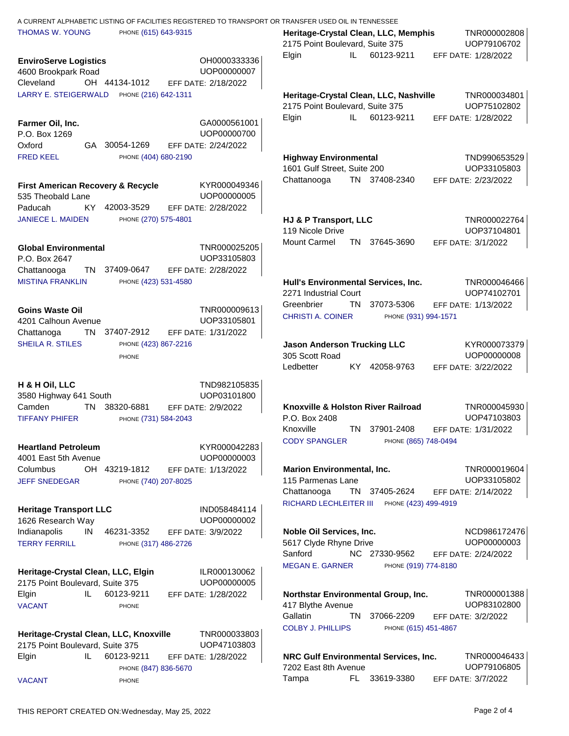| A CURRENT ALPHABETIC LISTING OF FACILITIES REGISTERED TO TRANSPORT OR TRANSFER USED OIL IN TENNESSEE |                             |                                                                                                        |
|------------------------------------------------------------------------------------------------------|-----------------------------|--------------------------------------------------------------------------------------------------------|
| <b>THOMAS W. YOUNG</b><br>PHONE (615) 643-9315                                                       |                             | TNR000002808<br>Heritage-Crystal Clean, LLC, Memphis<br>UOP79106702<br>2175 Point Boulevard, Suite 375 |
| <b>EnviroServe Logistics</b><br>4600 Brookpark Road                                                  | OH0000333336<br>UOP00000007 | Elgin<br>IL<br>60123-9211<br>EFF DATE: 1/28/2022                                                       |
| OH 44134-1012<br>Cleveland                                                                           | EFF DATE: 2/18/2022         |                                                                                                        |
| <b>LARRY E. STEIGERWALD</b><br>PHONE (216) 642-1311                                                  |                             | Heritage-Crystal Clean, LLC, Nashville<br>TNR000034801                                                 |
|                                                                                                      |                             | UOP75102802<br>2175 Point Boulevard, Suite 375                                                         |
| Farmer Oil, Inc.                                                                                     | GA0000561001                | 60123-9211<br>Elgin<br>IL.<br>EFF DATE: 1/28/2022                                                      |
| P.O. Box 1269                                                                                        | UOP00000700                 |                                                                                                        |
| Oxford<br>GA 30054-1269                                                                              | EFF DATE: 2/24/2022         |                                                                                                        |
| <b>FRED KEEL</b><br>PHONE (404) 680-2190                                                             |                             | TND990653529<br><b>Highway Environmental</b><br>1601 Gulf Street, Suite 200<br>UOP33105803             |
| <b>First American Recovery &amp; Recycle</b><br>535 Theobald Lane                                    | KYR000049346<br>UOP00000005 | TN 37408-2340<br>Chattanooga<br>EFF DATE: 2/23/2022                                                    |
| 42003-3529<br>Paducah<br>KY –                                                                        | EFF DATE: 2/28/2022         |                                                                                                        |
| <b>JANIECE L. MAIDEN</b><br>PHONE (270) 575-4801                                                     |                             | TNR000022764<br>HJ & P Transport, LLC                                                                  |
|                                                                                                      |                             | UOP37104801<br>119 Nicole Drive<br>Mount Carmel<br>TN 37645-3690<br>EFF DATE: 3/1/2022                 |
| <b>Global Environmental</b><br>P.O. Box 2647                                                         | TNR000025205<br>UOP33105803 |                                                                                                        |
| Chattanooga<br>TN -<br>37409-0647                                                                    | EFF DATE: 2/28/2022         |                                                                                                        |
| <b>MISTINA FRANKLIN</b><br>PHONE (423) 531-4580                                                      |                             | Hull's Environmental Services, Inc.<br>TNR000046466<br>UOP74102701<br>2271 Industrial Court            |
| <b>Goins Waste Oil</b>                                                                               | TNR000009613                | <b>TN</b><br>37073-5306<br>Greenbrier<br>EFF DATE: 1/13/2022                                           |
| 4201 Calhoun Avenue                                                                                  | UOP33105801                 | <b>CHRISTI A. COINER</b><br>PHONE (931) 994-1571                                                       |
| TN<br>37407-2912<br>Chattanoga                                                                       | EFF DATE: 1/31/2022         |                                                                                                        |
| <b>SHEILA R. STILES</b><br>PHONE (423) 867-2216                                                      |                             | KYR000073379<br><b>Jason Anderson Trucking LLC</b>                                                     |
| PHONE                                                                                                |                             | UOP00000008<br>305 Scott Road<br>KY 42058-9763<br>Ledbetter<br>EFF DATE: 3/22/2022                     |
|                                                                                                      |                             |                                                                                                        |
| H & H Oil, LLC<br>3580 Highway 641 South                                                             | TND982105835<br>UOP03101800 |                                                                                                        |
| 38320-6881<br>Camden<br>TN                                                                           | EFF DATE: 2/9/2022          | Knoxville & Holston River Railroad<br>TNR000045930                                                     |
| <b>TIFFANY PHIFER</b><br>PHONE (731) 584-2043                                                        |                             | UOP47103803<br>P.O. Box 2408<br>TN 37901-2408<br>Knoxville<br>EFF DATE: 1/31/2022                      |
|                                                                                                      |                             | <b>CODY SPANGLER</b><br>PHONE (865) 748-0494                                                           |
| <b>Heartland Petroleum</b><br>4001 East 5th Avenue                                                   | KYR000042283<br>UOP00000003 |                                                                                                        |
| OH 43219-1812<br>Columbus                                                                            | EFF DATE: 1/13/2022         | <b>Marion Environmental, Inc.</b><br>TNR000019604                                                      |
| <b>JEFF SNEDEGAR</b><br>PHONE (740) 207-8025                                                         |                             | 115 Parmenas Lane<br>UOP33105802                                                                       |
|                                                                                                      |                             | TN 37405-2624<br>Chattanooga<br>EFF DATE: 2/14/2022<br>RICHARD LECHLEITER III PHONE (423) 499-4919     |
| <b>Heritage Transport LLC</b><br>1626 Research Way                                                   | IND058484114<br>UOP00000002 |                                                                                                        |
| Indianapolis<br>IN<br>46231-3352                                                                     | EFF DATE: 3/9/2022          | Noble Oil Services, Inc.<br>NCD986172476                                                               |
| <b>TERRY FERRILL</b><br>PHONE (317) 486-2726                                                         |                             | UOP00000003<br>5617 Clyde Rhyne Drive                                                                  |
|                                                                                                      |                             | Sanford<br>NC 27330-9562<br>EFF DATE: 2/24/2022                                                        |
| Heritage-Crystal Clean, LLC, Elgin<br>2175 Point Boulevard, Suite 375                                | ILR000130062<br>UOP00000005 | <b>MEGAN E. GARNER</b><br>PHONE (919) 774-8180                                                         |
| 60123-9211<br>IL.<br>Elgin                                                                           | EFF DATE: 1/28/2022         | TNR000001388<br>Northstar Environmental Group, Inc.                                                    |
| <b>VACANT</b><br>PHONE                                                                               |                             | UOP83102800<br>417 Blythe Avenue                                                                       |
|                                                                                                      |                             | Gallatin<br>37066-2209<br>TN<br>EFF DATE: 3/2/2022                                                     |
| Heritage-Crystal Clean, LLC, Knoxville                                                               | TNR000033803<br>UOP47103803 | <b>COLBY J. PHILLIPS</b><br>PHONE (615) 451-4867                                                       |
| 2175 Point Boulevard, Suite 375<br>60123-9211<br>Elgin<br>IL.                                        | EFF DATE: 1/28/2022         | TNR000046433<br>NRC Gulf Environmental Services, Inc.                                                  |
| PHONE (847) 836-5670                                                                                 |                             | UOP79106805<br>7202 East 8th Avenue                                                                    |
| <b>VACANT</b><br>PHONE                                                                               |                             | FL 33619-3380<br>Tampa<br>EFF DATE: 3/7/2022                                                           |
|                                                                                                      |                             |                                                                                                        |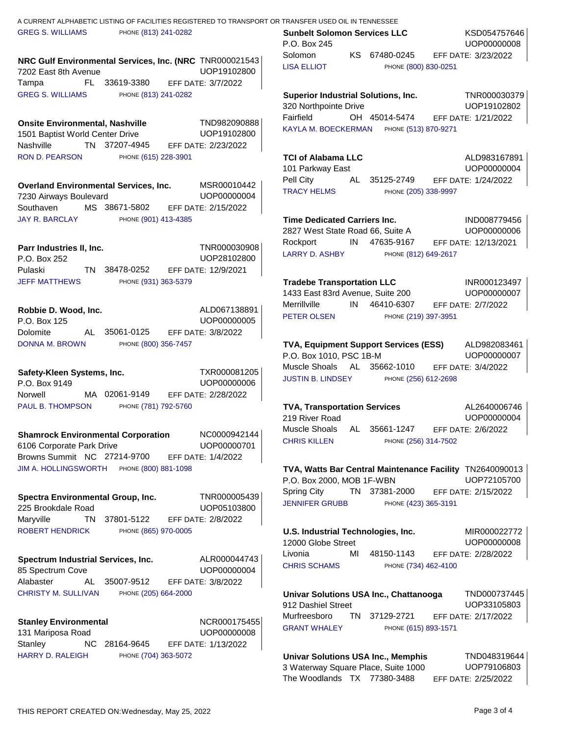| <b>GREG S. WILLIAMS</b><br>PHONE (813) 241-0282                                                | KSD054757646<br><b>Sunbelt Solomon Services LLC</b><br>UOP00000008<br>P.O. Box 245                   |
|------------------------------------------------------------------------------------------------|------------------------------------------------------------------------------------------------------|
| NRC Gulf Environmental Services, Inc. (NRC TNR000021543<br>UOP19102800<br>7202 East 8th Avenue | Solomon<br>KS 67480-0245<br>EFF DATE: 3/23/2022<br><b>LISA ELLIOT</b><br>PHONE (800) 830-0251        |
| FL 33619-3380<br>EFF DATE: 3/7/2022<br>Tampa                                                   |                                                                                                      |
| GREG S. WILLIAMS PHONE (813) 241-0282                                                          | <b>Superior Industrial Solutions, Inc.</b><br>TNR000030379                                           |
|                                                                                                | UOP19102802<br>320 Northpointe Drive                                                                 |
| TND982090888<br><b>Onsite Environmental, Nashville</b>                                         | Fairfield<br>OH 45014-5474<br>EFF DATE: 1/21/2022                                                    |
| 1501 Baptist World Center Drive<br>UOP19102800                                                 | KAYLA M. BOECKERMAN PHONE (513) 870-9271                                                             |
| Nashville TN 37207-4945<br>EFF DATE: 2/23/2022                                                 |                                                                                                      |
| RON D. PEARSON<br>PHONE (615) 228-3901                                                         | ALD983167891<br><b>TCI of Alabama LLC</b>                                                            |
|                                                                                                | UOP00000004<br>101 Parkway East                                                                      |
| <b>Overland Environmental Services, Inc.</b><br>MSR00010442                                    | Pell City<br>AL 35125-2749<br>EFF DATE: 1/24/2022                                                    |
| 7230 Airways Boulevard<br>UOP00000004                                                          | <b>TRACY HELMS</b><br>PHONE (205) 338-9997                                                           |
| MS 38671-5802 EFF DATE: 2/15/2022<br>Southaven                                                 |                                                                                                      |
| <b>JAY R. BARCLAY</b><br>PHONE (901) 413-4385                                                  | <b>Time Dedicated Carriers Inc.</b><br>IND008779456                                                  |
|                                                                                                | UOP00000006<br>2827 West State Road 66, Suite A                                                      |
| TNR000030908<br>Parr Industries II, Inc.                                                       | IN 47635-9167<br>Rockport<br>EFF DATE: 12/13/2021                                                    |
| P.O. Box 252<br>UOP28102800                                                                    | LARRY D. ASHBY<br>PHONE (812) 649-2617                                                               |
| Pulaski<br>TN 38478-0252<br>EFF DATE: 12/9/2021                                                |                                                                                                      |
| PHONE (931) 363-5379<br><b>JEFF MATTHEWS</b>                                                   | <b>Tradebe Transportation LLC</b><br>INR000123497                                                    |
|                                                                                                | 1433 East 83rd Avenue, Suite 200<br>UOP00000007                                                      |
| ALD067138891<br>Robbie D. Wood, Inc.                                                           | IN 46410-6307<br>Merrillville<br>EFF DATE: 2/7/2022                                                  |
| UOP00000005<br>P.O. Box 125                                                                    | PETER OLSEN<br>PHONE (219) 397-3951                                                                  |
| AL 35061-0125 EFF DATE: 3/8/2022<br>Dolomite                                                   |                                                                                                      |
| PHONE (800) 356-7457<br>DONNA M. BROWN                                                         | TVA, Equipment Support Services (ESS)<br>ALD982083461                                                |
|                                                                                                | P.O. Box 1010, PSC 1B-M<br>UOP00000007                                                               |
| TXR000081205<br>Safety-Kleen Systems, Inc.                                                     | Muscle Shoals AL 35662-1010 EFF DATE: 3/4/2022                                                       |
| UOP00000006<br>P.O. Box 9149                                                                   | JUSTIN B. LINDSEY PHONE (256) 612-2698                                                               |
| MA 02061-9149<br>Norwell<br>EFF DATE: 2/28/2022                                                |                                                                                                      |
| PAUL B. THOMPSON<br>PHONE (781) 792-5760                                                       | <b>TVA, Transportation Services</b><br>AL2640006746<br>219 River Road                                |
|                                                                                                | UOP00000004<br>Muscle Shoals AL 35661-1247<br>EFF DATE: 2/6/2022                                     |
| NC0000942144<br><b>Shamrock Environmental Corporation</b>                                      | <b>CHRIS KILLEN</b><br>PHONE (256) 314-7502                                                          |
| 6106 Corporate Park Drive<br>UOP00000701                                                       |                                                                                                      |
| Browns Summit NC 27214-9700<br>EFF DATE: 1/4/2022<br>JIM A. HOLLINGSWORTH PHONE (800) 881-1098 |                                                                                                      |
|                                                                                                | TVA, Watts Bar Central Maintenance Facility TN2640090013<br>UOP72105700<br>P.O. Box 2000, MOB 1F-WBN |
|                                                                                                | Spring City<br>TN 37381-2000<br>EFF DATE: 2/15/2022                                                  |
| TNR000005439<br>Spectra Environmental Group, Inc.                                              | <b>JENNIFER GRUBB</b><br>PHONE (423) 365-3191                                                        |
| UOP05103800<br>225 Brookdale Road<br>Maryville<br>TN<br>37801-5122<br>EFF DATE: 2/8/2022       |                                                                                                      |
| <b>ROBERT HENDRICK</b><br>PHONE (865) 970-0005                                                 | U.S. Industrial Technologies, Inc.<br>MIR000022772                                                   |
|                                                                                                | 12000 Globe Street<br>UOP00000008                                                                    |
| ALR000044743                                                                                   | Livonia<br>48150-1143<br>EFF DATE: 2/28/2022<br>МI                                                   |
| Spectrum Industrial Services, Inc.<br>UOP00000004<br>85 Spectrum Cove                          | <b>CHRIS SCHAMS</b><br>PHONE (734) 462-4100                                                          |
| Alabaster<br>35007-9512<br>EFF DATE: 3/8/2022<br>AL.                                           |                                                                                                      |
| <b>CHRISTY M. SULLIVAN</b><br>PHONE (205) 664-2000                                             | Univar Solutions USA Inc., Chattanooga<br>TND000737445                                               |
|                                                                                                | UOP33105803<br>912 Dashiel Street                                                                    |
| NCR000175455<br><b>Stanley Environmental</b>                                                   | Murfreesboro<br>TN 37129-2721<br>EFF DATE: 2/17/2022                                                 |
| UOP00000008<br>131 Mariposa Road                                                               | <b>GRANT WHALEY</b><br>PHONE (615) 893-1571                                                          |
| Stanley<br>NC 28164-9645<br>EFF DATE: 1/13/2022                                                |                                                                                                      |
| <b>HARRY D. RALEIGH</b><br>PHONE (704) 363-5072                                                | <b>Univar Solutions USA Inc., Memphis</b><br>TND048319644                                            |
|                                                                                                | 3 Waterway Square Place, Suite 1000<br>UOP79106803                                                   |
|                                                                                                | The Woodlands TX 77380-3488<br>EFF DATE: 2/25/2022                                                   |